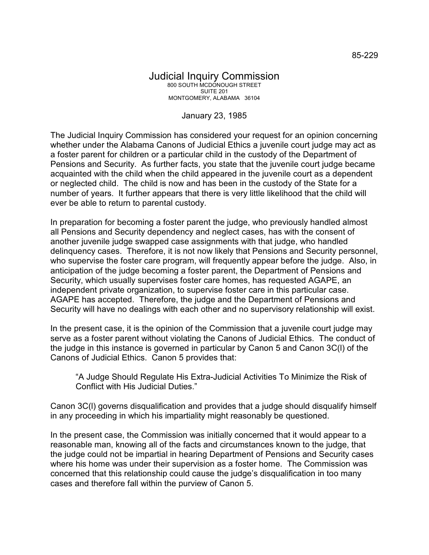## Judicial Inquiry Commission 800 SOUTH MCDONOUGH STREET SUITE 201 MONTGOMERY, ALABAMA 36104

## January 23, 1985

The Judicial Inquiry Commission has considered your request for an opinion concerning whether under the Alabama Canons of Judicial Ethics a juvenile court judge may act as a foster parent for children or a particular child in the custody of the Department of Pensions and Security. As further facts, you state that the juvenile court judge became acquainted with the child when the child appeared in the juvenile court as a dependent or neglected child. The child is now and has been in the custody of the State for a number of years. It further appears that there is very little likelihood that the child will ever be able to return to parental custody.

In preparation for becoming a foster parent the judge, who previously handled almost all Pensions and Security dependency and neglect cases, has with the consent of another juvenile judge swapped case assignments with that judge, who handled delinquency cases. Therefore, it is not now likely that Pensions and Security personnel, who supervise the foster care program, will frequently appear before the judge. Also, in anticipation of the judge becoming a foster parent, the Department of Pensions and Security, which usually supervises foster care homes, has requested AGAPE, an independent private organization, to supervise foster care in this particular case. AGAPE has accepted. Therefore, the judge and the Department of Pensions and Security will have no dealings with each other and no supervisory relationship will exist.

In the present case, it is the opinion of the Commission that a juvenile court judge may serve as a foster parent without violating the Canons of Judicial Ethics. The conduct of the judge in this instance is governed in particular by Canon 5 and Canon 3C(l) of the Canons of Judicial Ethics. Canon 5 provides that:

"A Judge Should Regulate His Extra-Judicial Activities To Minimize the Risk of Conflict with His Judicial Duties."

Canon 3C(l) governs disqualification and provides that a judge should disqualify himself in any proceeding in which his impartiality might reasonably be questioned.

In the present case, the Commission was initially concerned that it would appear to a reasonable man, knowing all of the facts and circumstances known to the judge, that the judge could not be impartial in hearing Department of Pensions and Security cases where his home was under their supervision as a foster home. The Commission was concerned that this relationship could cause the judge's disqualification in too many cases and therefore fall within the purview of Canon 5.